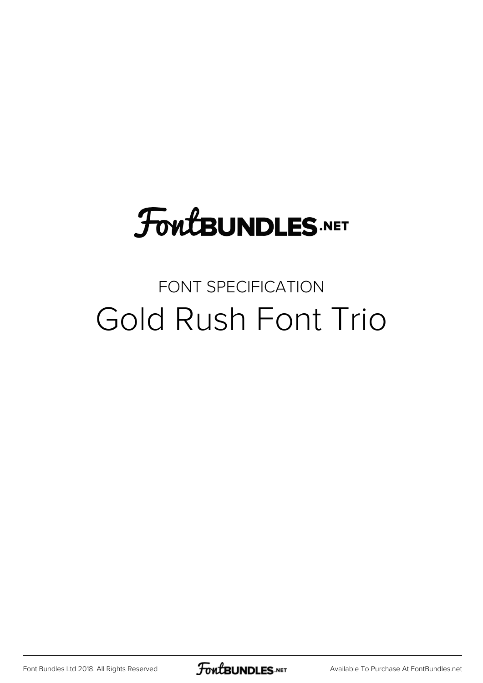### **FoutBUNDLES.NET**

### FONT SPECIFICATION Gold Rush Font Trio

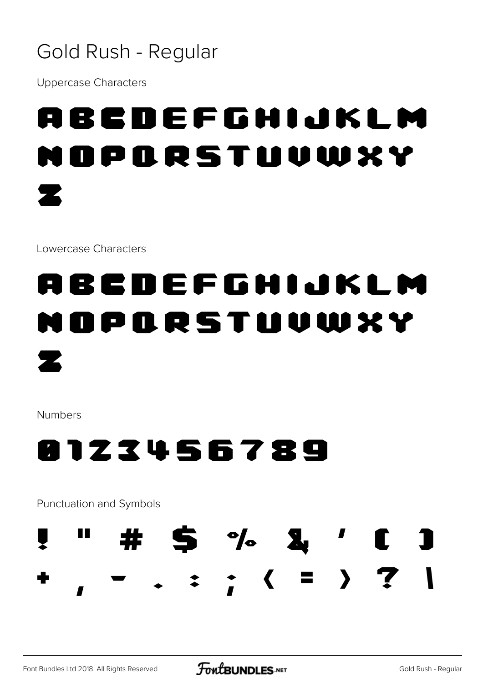#### Gold Rush - Regular

**Uppercase Characters** 

## ABCDEFGHIJKLM PORSTUVWXY

Lowercase Characters

#### ABCDEFGHIJKLM ORSTUVWXY DI П

**Numbers** 



Punctuation and Symbols

ш



7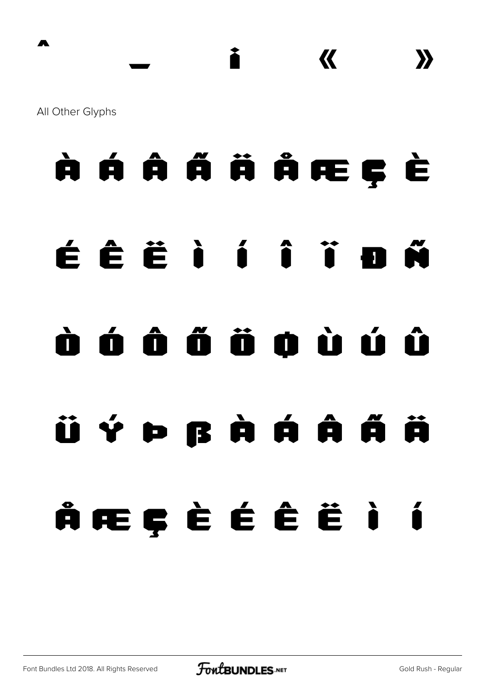All Other Glyphs

# À Á Â Ã Ä Å Æ Ç È É Ê Ë Ì Í Î Ï Ð Ñ Ò Ó Ô Õ Ö Ø Ù Ú Û Ü Ý Þ ß à á â ã ä å æ ç è é ê ë ì í

^ \_ ¡ « »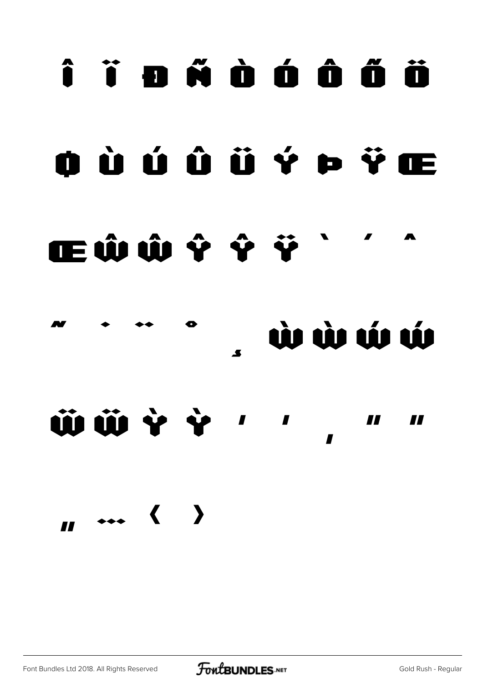# î ï a ñ à á â ã ä aùúûüý pŸæ **IEŴŴŶŶŸ**

**WWWW** 

ÜÜÝÝ  $\blacksquare$ 77 77

Font Bundles Ltd 2018. All Rights Reserved

 $\overline{a}$  ... ( )

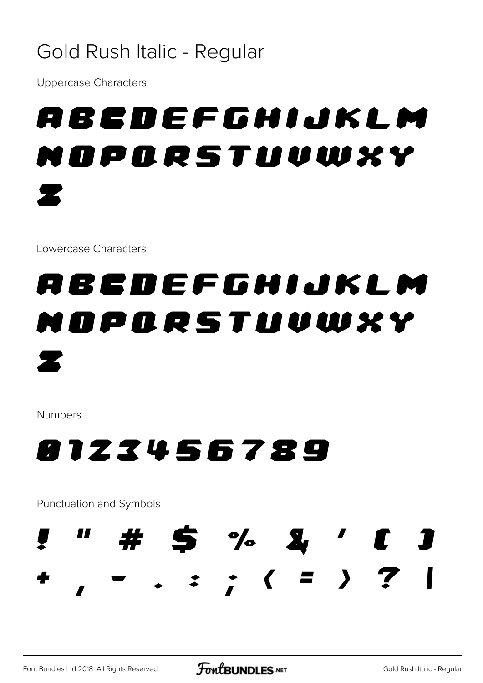#### Gold Rush Italic - Regular

**Uppercase Characters** 

## ABCDEFGHIJKLM OPORSTUVWXY

Lowercase Characters

### ABCDEFGHIJKLM OPORSTUVWXY Z

**Numbers** 

### 8123456789

Punctuation and Symbols

 $\#$  5 % &  $\prime$  C

 $\cdot$  : ; ( = ) ?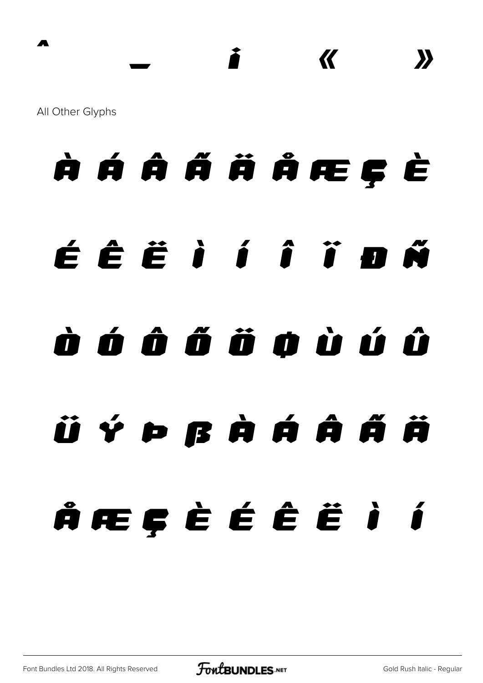All Other Glyphs

# *À Á Â Ã Ä Å Æ Ç È É Ê Ë Ì Í Î Ï Ð Ñ Ò Ó Ô Õ Ö Ø Ù Ú Û Ü Ý Þ ß à á â ã ä å æ ç è é ê ë ì í*

*^ \_ ¡ « »*

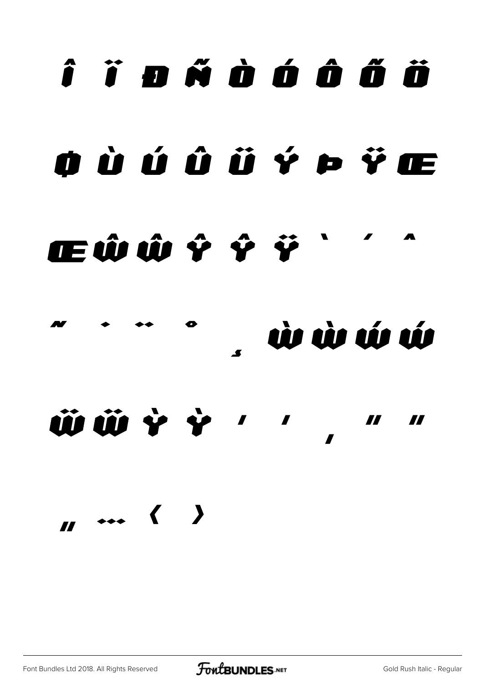# î ï o ñ ò ó ô ő ö oùúûüý p Ÿœ ŒŴŴŶŶŸ

à à ú WWYY'' II Ħ

 $\mathbf{u}$  ... ( )

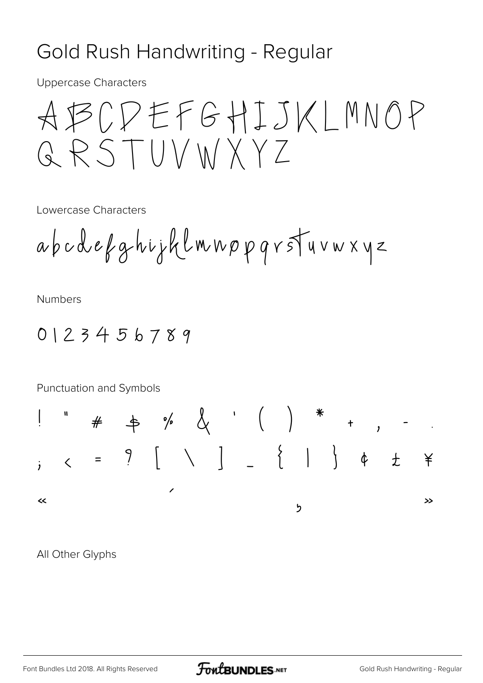#### Gold Rush Handwriting - Regular

**Uppercase Characters** 

Lowercase Characters

**Numbers** 

 $0123456789$ 



All Other Glyphs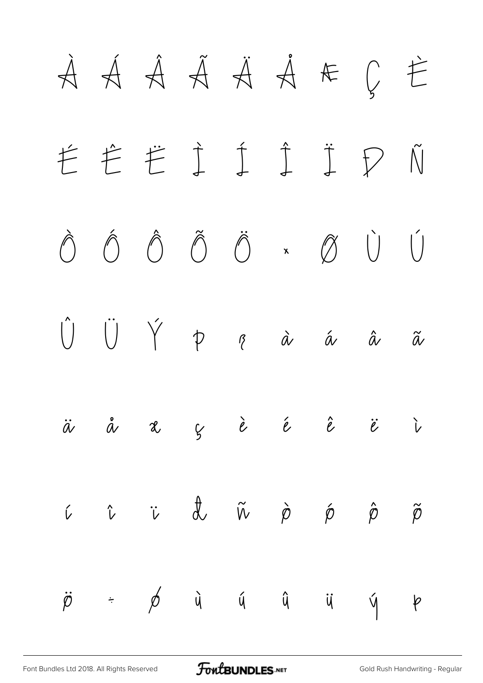